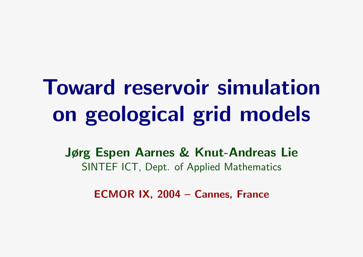# Toward reservoir simulation on geological grid models

Jørg Espen Aarnes & Knut-Andreas Lie SINTEF ICT, Dept. of Applied Mathematics

ECMOR IX, 2004 – Cannes, France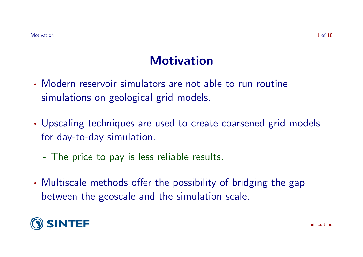## **Motivation**

- · Modern reservoir simulators are not able to run routine simulations on geological grid models.
- · Upscaling techniques are used to create coarsened grid models for day-to-day simulation.
	- The price to pay is less reliable results.
- · Multiscale methods offer the possibility of bridging the gap between the geoscale and the simulation scale.

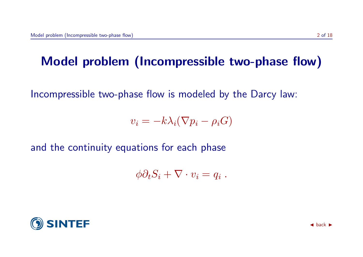# Model problem (Incompressible two-phase flow)

Incompressible two-phase flow is modeled by the Darcy law:

 $v_i = -k\lambda_i(\nabla p_i - \rho_i G)$ 

and the continuity equations for each phase

 $\phi \partial_t S_i + \nabla \cdot v_i = q_i$ .

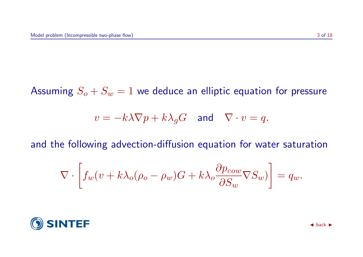Assuming  $S_o + S_w = 1$  we deduce an elliptic equation for pressure

$$
v = -k\lambda \nabla p + k\lambda_g G \quad \text{and} \quad \nabla \cdot v = q.
$$

and the following advection-diffusion equation for water saturation

$$
\nabla \cdot \left[ f_w(v + k\lambda_o(\rho_o - \rho_w)G + k\lambda_o \frac{\partial p_{cow}}{\partial S_w} \nabla S_w) \right] = q_w.
$$

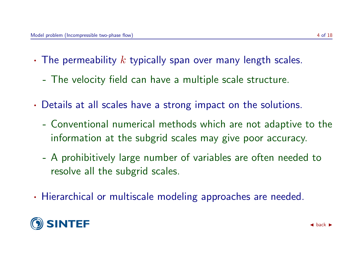- The permeability  $k$  typically span over many length scales.
	- The velocity field can have a multiple scale structure.
- · Details at all scales have a strong impact on the solutions.
	- Conventional numerical methods which are not adaptive to the information at the subgrid scales may give poor accuracy.
	- A prohibitively large number of variables are often needed to resolve all the subgrid scales.
- · Hierarchical or multiscale modeling approaches are needed.

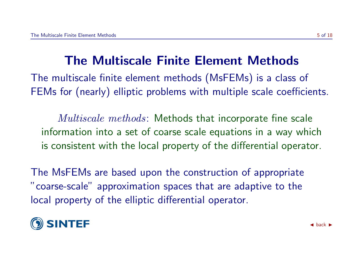# The Multiscale Finite Element Methods

The multiscale finite element methods (MsFEMs) is a class of FEMs for (nearly) elliptic problems with multiple scale coefficients.

Multiscale methods: Methods that incorporate fine scale information into a set of coarse scale equations in a way which is consistent with the local property of the differential operator.

The MsFEMs are based upon the construction of appropriate "coarse-scale" approximation spaces that are adaptive to the local property of the elliptic differential operator.

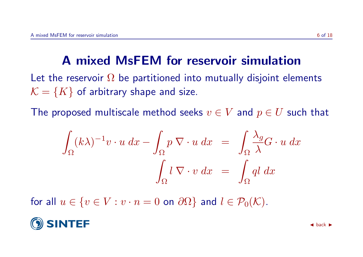# A mixed MsFEM for reservoir simulation

Let the reservoir  $\Omega$  be partitioned into mutually disjoint elements  $\mathcal{K} = \{K\}$  of arbitrary shape and size.

The proposed multiscale method seeks  $v \in V$  and  $p \in U$  such that

$$
\int_{\Omega} (k\lambda)^{-1} v \cdot u \, dx - \int_{\Omega} p \, \nabla \cdot u \, dx = \int_{\Omega} \frac{\lambda_g}{\lambda} G \cdot u \, dx
$$

$$
\int_{\Omega} l \, \nabla \cdot v \, dx = \int_{\Omega} q l \, dx
$$

for all  $u \in \{v \in V : v \cdot n = 0 \text{ on } \partial\Omega\}$  and  $l \in \mathcal{P}_0(\mathcal{K})$ .

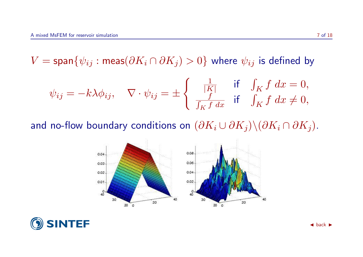$V = span\{\psi_{ij} : meas(\partial K_i \cap \partial K_j) > 0\}$  where  $\psi_{ij}$  is defined by

$$
\psi_{ij} = -k\lambda \phi_{ij}, \quad \nabla \cdot \psi_{ij} = \pm \left\{ \begin{array}{ll} \frac{1}{|K|} & \text{if} \quad \int_K f \, dx = 0, \\ \frac{f}{\int_K f \, dx} & \text{if} \quad \int_K f \, dx \neq 0, \end{array} \right.
$$

and no-flow boundary conditions on  $(\partial K_i \cup \partial K_j)\setminus (\partial K_i \cap \partial K_j)$ .



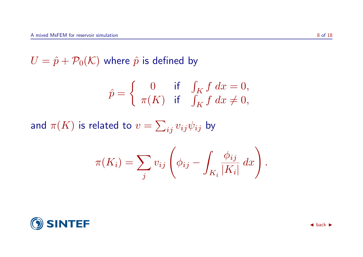$U = \hat{p} + P_0(\mathcal{K})$  where  $\hat{p}$  is defined by

$$
\hat{p} = \begin{cases} 0 & \text{if } \int_K f \, dx = 0, \\ \pi(K) & \text{if } \int_K f \, dx \neq 0, \end{cases}
$$

and  $\pi(K)$  is related to  $v=\sum_{ij}v_{ij}\psi_{ij}$  by

$$
\pi(K_i) = \sum_j v_{ij} \left( \phi_{ij} - \int_{K_i} \frac{\phi_{ij}}{|K_i|} dx \right).
$$

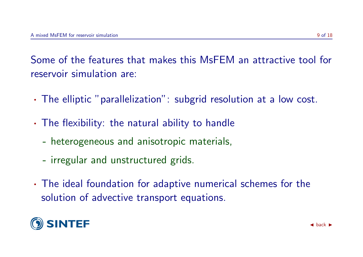Some of the features that makes this MsFEM an attractive tool for reservoir simulation are:

- · The elliptic "parallelization": subgrid resolution at a low cost.
- · The flexibility: the natural ability to handle
	- heterogeneous and anisotropic materials,
	- irregular and unstructured grids.
- · The ideal foundation for adaptive numerical schemes for the solution of advective transport equations.

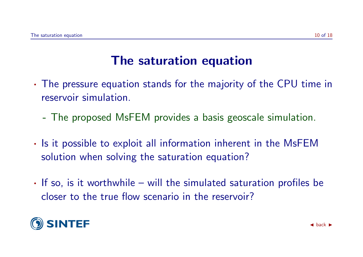### The saturation equation

- · The pressure equation stands for the majority of the CPU time in reservoir simulation.
	- The proposed MsFEM provides a basis geoscale simulation.
- · Is it possible to exploit all information inherent in the MsFEM solution when solving the saturation equation?
- · If so, is it worthwhile will the simulated saturation profiles be closer to the true flow scenario in the reservoir?

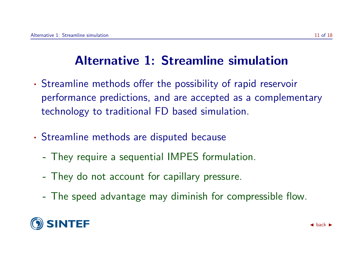# Alternative 1: Streamline simulation

- · Streamline methods offer the possibility of rapid reservoir performance predictions, and are accepted as a complementary technology to traditional FD based simulation.
- · Streamline methods are disputed because
	- They require a sequential IMPES formulation.
	- They do not account for capillary pressure.
	- The speed advantage may diminish for compressible flow.

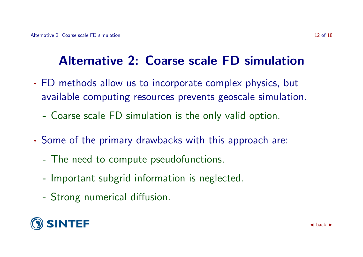# Alternative 2: Coarse scale FD simulation

- · FD methods allow us to incorporate complex physics, but available computing resources prevents geoscale simulation.
	- Coarse scale FD simulation is the only valid option.
- · Some of the primary drawbacks with this approach are:
	- The need to compute pseudofunctions.
	- Important subgrid information is neglected.
	- Strong numerical diffusion.

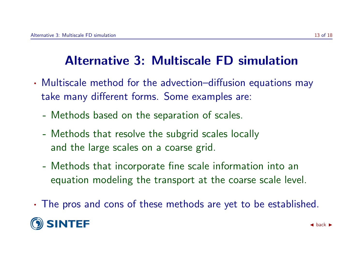# Alternative 3: Multiscale FD simulation

- · Multiscale method for the advection–diffusion equations may take many different forms. Some examples are:
	- Methods based on the separation of scales.
	- Methods that resolve the subgrid scales locally and the large scales on a coarse grid.
	- Methods that incorporate fine scale information into an equation modeling the transport at the coarse scale level.
- · The pros and cons of these methods are yet to be established.

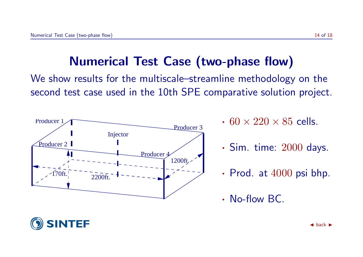## Numerical Test Case (two-phase flow)

We show results for the multiscale–streamline methodology on the second test case used in the 10th SPE comparative solution project.



- $\cdot$  60  $\times$  220  $\times$  85 cells.
- $\cdot$  Sim. time:  $2000$  days.
- Prod. at  $4000$  psi bhp.
- · No-flow BC.

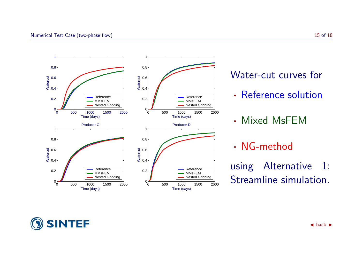

#### Water-cut curves for

- · Reference solution
- · Mixed MsFEM

#### · NG-method

using Alternative 1: Streamline simulation.

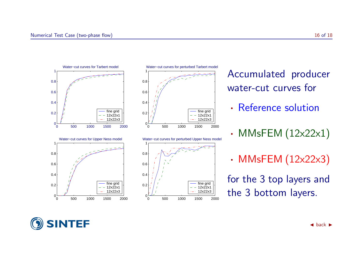

- Accumulated producer water-cut curves for
- · Reference solution
- MMsFEM  $(12\times22\times1)$
- MMsFEM (12x22x3)

for the 3 top layers and the 3 bottom layers.

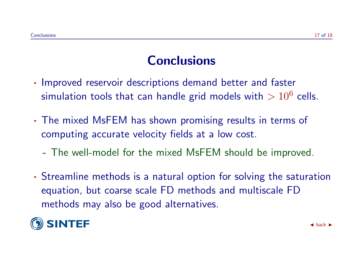# **Conclusions**

- · Improved reservoir descriptions demand better and faster simulation tools that can handle grid models with  $>10^6$  cells.
- · The mixed MsFEM has shown promising results in terms of computing accurate velocity fields at a low cost.
	- The well-model for the mixed MsFEM should be improved.
- · Streamline methods is a natural option for solving the saturation equation, but coarse scale FD methods and multiscale FD methods may also be good alternatives.